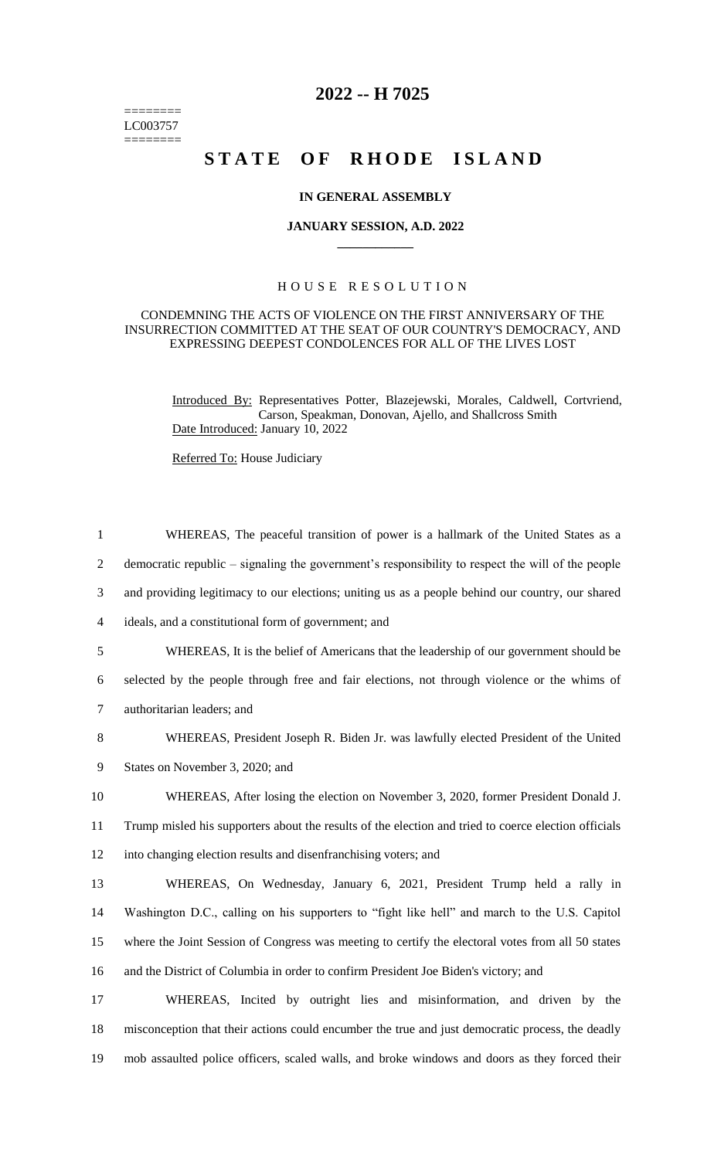======== LC003757  $=$ 

## **2022 -- H 7025**

# **STATE OF RHODE ISLAND**

#### **IN GENERAL ASSEMBLY**

#### **JANUARY SESSION, A.D. 2022 \_\_\_\_\_\_\_\_\_\_\_\_**

### H O U S E R E S O L U T I O N

#### CONDEMNING THE ACTS OF VIOLENCE ON THE FIRST ANNIVERSARY OF THE INSURRECTION COMMITTED AT THE SEAT OF OUR COUNTRY'S DEMOCRACY, AND EXPRESSING DEEPEST CONDOLENCES FOR ALL OF THE LIVES LOST

Introduced By: Representatives Potter, Blazejewski, Morales, Caldwell, Cortvriend, Carson, Speakman, Donovan, Ajello, and Shallcross Smith Date Introduced: January 10, 2022

Referred To: House Judiciary

| $\mathbf{1}$   | WHEREAS, The peaceful transition of power is a hallmark of the United States as a                    |
|----------------|------------------------------------------------------------------------------------------------------|
| $\overline{2}$ | democratic republic – signaling the government's responsibility to respect the will of the people    |
| 3              | and providing legitimacy to our elections; uniting us as a people behind our country, our shared     |
| $\overline{4}$ | ideals, and a constitutional form of government; and                                                 |
| 5              | WHEREAS, It is the belief of Americans that the leadership of our government should be               |
| 6              | selected by the people through free and fair elections, not through violence or the whims of         |
| 7              | authoritarian leaders; and                                                                           |
| 8              | WHEREAS, President Joseph R. Biden Jr. was lawfully elected President of the United                  |
| 9              | States on November 3, 2020; and                                                                      |
| 10             | WHEREAS, After losing the election on November 3, 2020, former President Donald J.                   |
| 11             | Trump misled his supporters about the results of the election and tried to coerce election officials |
| 12             | into changing election results and disenfranchising voters; and                                      |
| 13             | WHEREAS, On Wednesday, January 6, 2021, President Trump held a rally in                              |
| 14             | Washington D.C., calling on his supporters to "fight like hell" and march to the U.S. Capitol        |
| 15             | where the Joint Session of Congress was meeting to certify the electoral votes from all 50 states    |
| 16             | and the District of Columbia in order to confirm President Joe Biden's victory; and                  |
| 17             | WHEREAS, Incited by outright lies and misinformation, and driven by the                              |
| 18             | misconception that their actions could encumber the true and just democratic process, the deadly     |
| 19             | mob assaulted police officers, scaled walls, and broke windows and doors as they forced their        |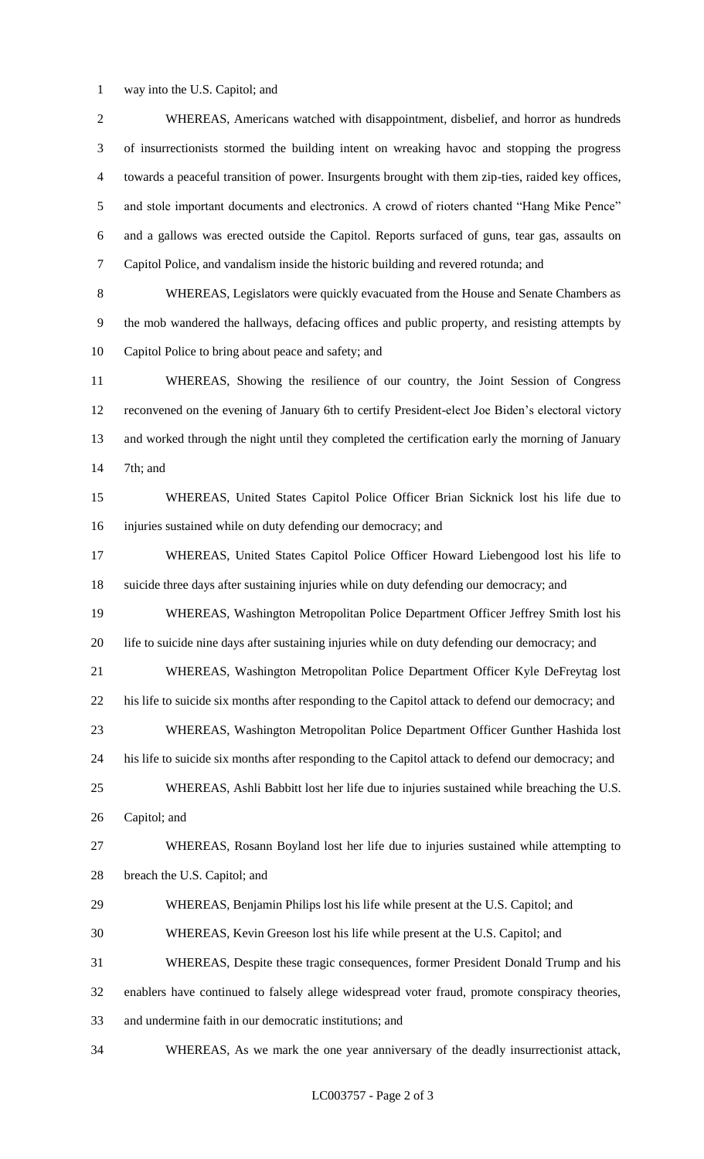way into the U.S. Capitol; and

| $\overline{2}$ | WHEREAS, Americans watched with disappointment, disbelief, and horror as hundreds                  |
|----------------|----------------------------------------------------------------------------------------------------|
| 3              | of insurrectionists stormed the building intent on wreaking havoc and stopping the progress        |
| $\overline{4}$ | towards a peaceful transition of power. Insurgents brought with them zip-ties, raided key offices, |
| 5              | and stole important documents and electronics. A crowd of rioters chanted "Hang Mike Pence"        |
| 6              | and a gallows was erected outside the Capitol. Reports surfaced of guns, tear gas, assaults on     |
| 7              | Capitol Police, and vandalism inside the historic building and revered rotunda; and                |
| $8\,$          | WHEREAS, Legislators were quickly evacuated from the House and Senate Chambers as                  |
| 9              | the mob wandered the hallways, defacing offices and public property, and resisting attempts by     |
| 10             | Capitol Police to bring about peace and safety; and                                                |
| 11             | WHEREAS, Showing the resilience of our country, the Joint Session of Congress                      |
| 12             | reconvened on the evening of January 6th to certify President-elect Joe Biden's electoral victory  |
| 13             | and worked through the night until they completed the certification early the morning of January   |
| 14             | 7th; and                                                                                           |
| 15             | WHEREAS, United States Capitol Police Officer Brian Sicknick lost his life due to                  |
| 16             | injuries sustained while on duty defending our democracy; and                                      |
| 17             | WHEREAS, United States Capitol Police Officer Howard Liebengood lost his life to                   |
| 18             | suicide three days after sustaining injuries while on duty defending our democracy; and            |
| 19             | WHEREAS, Washington Metropolitan Police Department Officer Jeffrey Smith lost his                  |
| 20             | life to suicide nine days after sustaining injuries while on duty defending our democracy; and     |
| 21             | WHEREAS, Washington Metropolitan Police Department Officer Kyle DeFreytag lost                     |
| 22             | his life to suicide six months after responding to the Capitol attack to defend our democracy; and |
| 23             | WHEREAS, Washington Metropolitan Police Department Officer Gunther Hashida lost                    |
| 24             | his life to suicide six months after responding to the Capitol attack to defend our democracy; and |
| 25             | WHEREAS, Ashli Babbitt lost her life due to injuries sustained while breaching the U.S.            |
| 26             | Capitol; and                                                                                       |
| 27             | WHEREAS, Rosann Boyland lost her life due to injuries sustained while attempting to                |
| 28             | breach the U.S. Capitol; and                                                                       |
| 29             | WHEREAS, Benjamin Philips lost his life while present at the U.S. Capitol; and                     |
| 30             | WHEREAS, Kevin Greeson lost his life while present at the U.S. Capitol; and                        |
| 31             | WHEREAS, Despite these tragic consequences, former President Donald Trump and his                  |
| 32             | enablers have continued to falsely allege widespread voter fraud, promote conspiracy theories,     |
| 33             | and undermine faith in our democratic institutions; and                                            |
| 34             | WHEREAS, As we mark the one year anniversary of the deadly insurrectionist attack,                 |